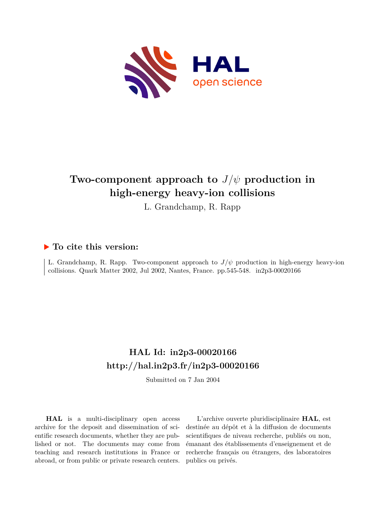

# **Two-component approach to** *J*/*ψ* **production in high-energy heavy-ion collisions**

L. Grandchamp, R. Rapp

### **To cite this version:**

L. Grandchamp, R. Rapp. Two-component approach to  $J/\psi$  production in high-energy heavy-ion collisions. Quark Matter 2002, Jul 2002, Nantes, France. pp.545-548.  $in2p3-00020166$ 

## **HAL Id: in2p3-00020166 <http://hal.in2p3.fr/in2p3-00020166>**

Submitted on 7 Jan 2004

**HAL** is a multi-disciplinary open access archive for the deposit and dissemination of scientific research documents, whether they are published or not. The documents may come from teaching and research institutions in France or abroad, or from public or private research centers.

L'archive ouverte pluridisciplinaire **HAL**, est destinée au dépôt et à la diffusion de documents scientifiques de niveau recherche, publiés ou non, émanant des établissements d'enseignement et de recherche français ou étrangers, des laboratoires publics ou privés.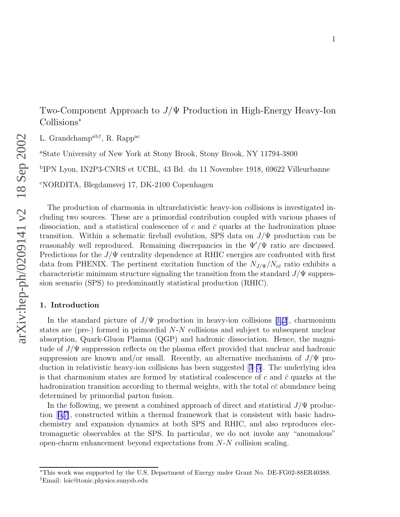Two-Component Approach to J/Ψ Production in High-Energy Heavy-Ion Collisions ∗

L. Grandchamp<sup>ab†</sup>, R. Rapp<sup>ac</sup>

<sup>a</sup>State University of New York at Stony Brook, Stony Brook, NY 11794-3800

b IPN Lyon, IN2P3-CNRS et UCBL, 43 Bd. du 11 Novembre 1918, 69622 Villeurbanne

<sup>c</sup>NORDITA, Blegdamsvej 17, DK-2100 Copenhagen

The production of charmonia in ultrarelativistic heavy-ion collisions is investigated including two sources. These are a primordial contribution coupled with various phases of dissociation, and a statistical coalescence of c and  $\bar{c}$  quarks at the hadronization phase transition. Within a schematic fireball evolution, SPS data on  $J/\Psi$  production can be reasonably well reproduced. Remaining discrepancies in the  $\Psi'/\Psi$  ratio are discussed. Predictions for the  $J/\Psi$  centrality dependence at RHIC energies are confronted with first data from PHENIX. The pertinent excitation function of the  $N_{J/\Psi}/N_{c\bar{c}}$  ratio exhibits a characteristic minimum structure signaling the transition from the standard  $J/\Psi$  suppression scenario (SPS) to predominantly statistical production (RHIC).

#### 1. Introduction

In the standard picture of  $J/\Psi$  production in heavy-ion collisions [\[1,2](#page-4-0)], charmonium states are (pre-) formed in primordial N - N collisions and subject to subsequent nuclear absorption, Quark-Gluon Plasma (QGP) and hadronic dissociation. Hence, the magnitude of  $J/\Psi$  suppression reflects on the plasma effect provided that nuclear and hadronic suppression are known and/or small. Recently, an alternative mechanism of  $J/\Psi$  production in relativistic heavy-ion collisions has been suggested [[3–5](#page-4-0)]. The underlying idea is that charmonium states are formed by statistical coalescence of  $c$  and  $\bar{c}$  quarks at the hadronization transition according to thermal weights, with the total  $c\bar{c}$  abundance being determined by primordial parton fusion.

In the following, we present a combined approach of direct and statistical  $J/\Psi$  production [[6,7\]](#page-4-0), constructed within a thermal framework that is consistent with basic hadrochemistry and expansion dynamics at both SPS and RHIC, and also reproduces electromagnetic observables at the SPS. In particular, we do not invoke any "anomalous" open-charm enhancement beyond expectations from N - N collision scaling.

<sup>∗</sup>This work was supported by the U.S. Department of Energy under Grant No. DE-FG02-88ER40388. †Email: loic@tonic.physics.sunysb.edu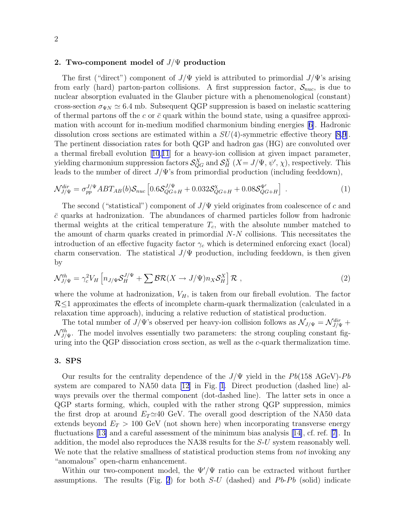#### 2. Two-component model of  $J/\Psi$  production

The first ("direct") component of  $J/\Psi$  yield is attributed to primordial  $J/\Psi$ 's arising from early (hard) parton-parton collisions. A first suppression factor,  $S_{nuc}$ , is due to nuclear absorption evaluated in the Glauber picture with a phenomenological (constant) cross-section  $\sigma_{\Psi N} \simeq 6.4$  mb. Subsequent QGP suppression is based on inelastic scattering of thermal partons of the c or  $\bar{c}$  quark within the bound state, using a quasifree approximation with account for in-medium modified charmonium binding energies [[6\]](#page-4-0). Hadronic dissolution cross sections are estimated within a  $SU(4)$ -symmetric effective theory [\[8](#page-4-0),[9](#page-4-0)]. The pertinent dissociation rates for both QGP and hadron gas (HG) are convoluted over a thermal fireball evolution [[10](#page-4-0),[11](#page-4-0)] for a heavy-ion collision at given impact parameter, yielding charmonium suppression factors  $\mathcal{S}_{QG}^X$  and  $\mathcal{S}_H^X$   $(X = J/\Psi, \psi', \chi)$ , respectively. This leads to the number of direct  $J/\Psi$ 's from primordial production (including feeddown),

$$
\mathcal{N}_{J/\Psi}^{dir} = \sigma_{pp}^{J/\Psi} ABT_{AB}(b) \mathcal{S}_{nuc} \left[ 0.6 \mathcal{S}_{QG+H}^{J/\Psi} + 0.032 \mathcal{S}_{QG+H}^{\chi} + 0.08 \mathcal{S}_{QG+H}^{\Psi'} \right] \ . \tag{1}
$$

The second ("statistical") component of  $J/\Psi$  yield originates from coalescence of c and  $\bar{c}$  quarks at hadronization. The abundances of charmed particles follow from hadronic thermal weights at the critical temperature  $T_c$ , with the absolute number matched to the amount of charm quarks created in primordial  $N-N$  collisions. This necessitates the introduction of an effective fugacity factor  $\gamma_c$  which is determined enforcing exact (local) charm conservation. The statistical  $J/\Psi$  production, including feeddown, is then given by

$$
\mathcal{N}_{J/\Psi}^{th} = \gamma_c^2 V_H \left[ n_{J/\Psi} \mathcal{S}_H^{J/\Psi} + \sum \mathcal{BR}(X \to J/\Psi) n_X \mathcal{S}_H^X \right] \mathcal{R} , \qquad (2)
$$

where the volume at hadronization,  $V_H$ , is taken from our fireball evolution. The factor  $R<1$  approximates the effects of incomplete charm-quark thermalization (calculated in a relaxation time approach), inducing a relative reduction of statistical production.

The total number of  $J/\Psi$ 's observed per heavy-ion collision follows as  $\mathcal{N}_{J/\Psi} = \mathcal{N}_{J/\Psi}^{dir} +$  $\mathcal{N}_{J/\Psi}^{th}$ . The model involves essentially two parameters: the strong coupling constant figuring into the QGP dissociation cross section, as well as the  $c$ -quark thermalization time.

#### 3. SPS

Our results for the centrality dependence of the  $J/\Psi$  yield in the Pb(158 AGeV)-Pb system are compared to NA50 data [\[12\]](#page-4-0) in Fig. [1](#page-3-0). Direct production (dashed line) always prevails over the thermal component (dot-dashed line). The latter sets in once a QGP starts forming, which, coupled with the rather strong QGP suppression, mimics the first drop at around  $E_T \simeq 40$  GeV. The overall good description of the NA50 data extends beyond  $E_T > 100$  GeV (not shown here) when incorporating transverse energy fluctuations [[13\]](#page-4-0) and a careful assessment of the minimum bias analysis [[14\]](#page-4-0), cf. ref. [[7\]](#page-4-0). In addition, the model also reproduces the NA38 results for the S-U system reasonably well. We note that the relative smallness of statistical production stems from *not* invoking any "anomalous" open-charm enhancement.

Within our two-component model, the  $\Psi/\Psi$  ratio can be extracted without further assumptions. The results (Fig. [2](#page-3-0)) for both  $S-U$  (dashed) and  $Pb-Pb$  (solid) indicate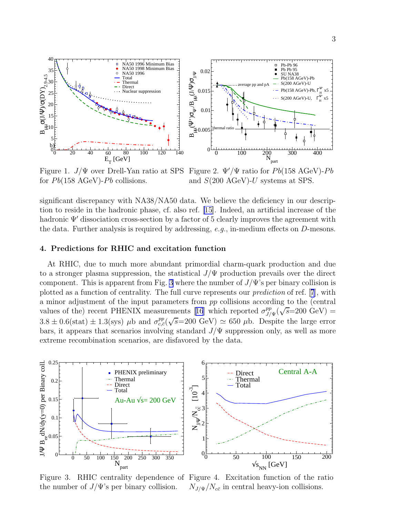<span id="page-3-0"></span>



Figure 1.  $J/\Psi$  over Drell-Yan ratio at SPS Figure 2.  $\Psi'/\Psi$  ratio for Pb(158 AGeV)-Pb for  $Pb(158 \text{ AGeV})$ - $Pb$  collisions.

and S(200 AGeV)-U systems at SPS.

significant discrepancy with NA38/NA50 data. We believe the deficiency in our description to reside in the hadronic phase, cf. also ref. [\[15\]](#page-4-0). Indeed, an artificial increase of the hadronic Ψ′ dissociation cross-section by a factor of 5 clearly improves the agreement with the data. Further analysis is required by addressing, e.g., in-medium effects on D-mesons.

#### 4. Predictions for RHIC and excitation function

At RHIC, due to much more abundant primordial charm-quark production and due to a stronger plasma suppression, the statistical  $J/\Psi$  production prevails over the direct component. This is apparent from Fig. 3 where the number of  $J/\Psi$ 's per binary collision is plotted as a function of centrality. The full curve represents our prediction of ref. [[7](#page-4-0)], with a minor adjustment of the input parameters from pp collisions according to the (central values of the) recent PHENIX measurements [[16](#page-4-0)] which reported  $\sigma_{J}^{pp}$  $\sum_{J/\Psi}^{pp}(\sqrt{s} = 200\,\,\text{GeV}) =$  $3.8 \pm 0.6$ (stat)  $\pm 1.3$ (sys)  $\mu$ b and  $\sigma_{c,\bar{c}}^{pp}(\sqrt{s}=200 \text{ GeV}) \simeq 650 \mu$ b. Despite the large error bars, it appears that scenarios involving standard  $J/\Psi$  suppression only, as well as more extreme recombination scenarios, are disfavored by the data.



Figure 3. RHIC centrality dependence of Figure 4. Excitation function of the ratio the number of  $J/\Psi$ 's per binary collision.  $N_{J/\Psi}/N_{c\bar{c}}$  in central heavy-ion collisions.